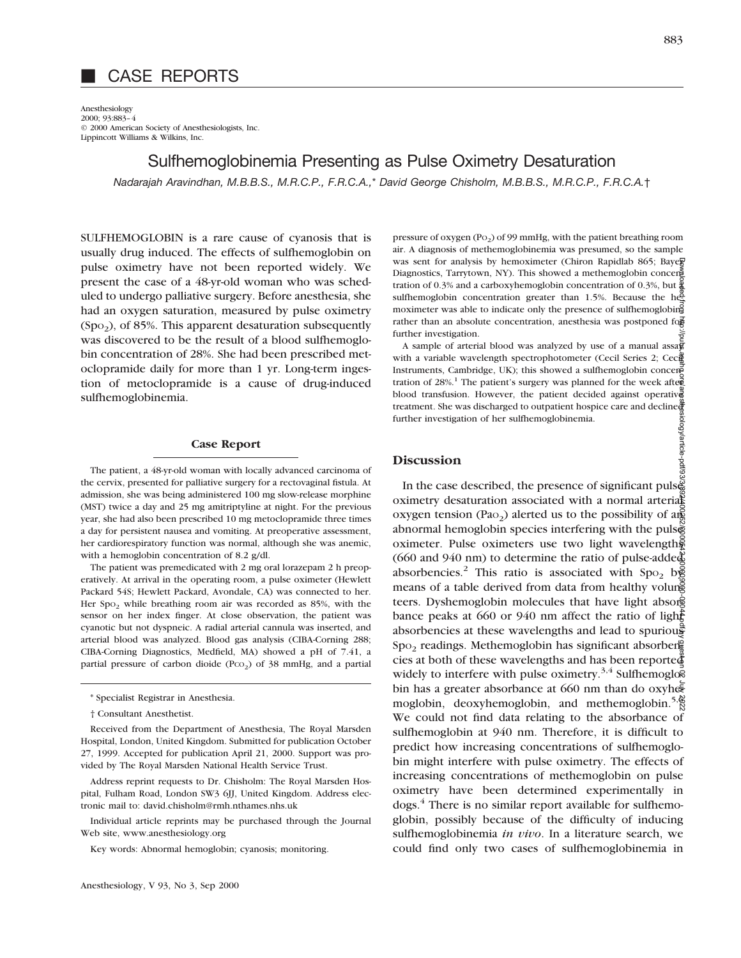# CASE REPORTS

Anesthesiology 2000; 93:883–4 © 2000 American Society of Anesthesiologists, Inc. Lippincott Williams & Wilkins, Inc.

# Sulfhemoglobinemia Presenting as Pulse Oximetry Desaturation

*Nadarajah Aravindhan, M.B.B.S., M.R.C.P., F.R.C.A.,*\* *David George Chisholm, M.B.B.S., M.R.C.P., F.R.C.A.*†

SULFHEMOGLOBIN is a rare cause of cyanosis that is usually drug induced. The effects of sulfhemoglobin on pulse oximetry have not been reported widely. We present the case of a 48-yr-old woman who was scheduled to undergo palliative surgery. Before anesthesia, she had an oxygen saturation, measured by pulse oximetry  $(Spo<sub>2</sub>)$ , of 85%. This apparent desaturation subsequently was discovered to be the result of a blood sulfhemoglobin concentration of 28%. She had been prescribed metoclopramide daily for more than 1 yr. Long-term ingestion of metoclopramide is a cause of drug-induced sulfhemoglobinemia.

### **Case Report**

The patient, a 48-yr-old woman with locally advanced carcinoma of the cervix, presented for palliative surgery for a rectovaginal fistula. At admission, she was being administered 100 mg slow-release morphine (MST) twice a day and 25 mg amitriptyline at night. For the previous year, she had also been prescribed 10 mg metoclopramide three times a day for persistent nausea and vomiting. At preoperative assessment, her cardiorespiratory function was normal, although she was anemic, with a hemoglobin concentration of 8.2 g/dl.

The patient was premedicated with 2 mg oral lorazepam 2 h preoperatively. At arrival in the operating room, a pulse oximeter (Hewlett Packard 54S; Hewlett Packard, Avondale, CA) was connected to her. Her  $Spo<sub>2</sub>$  while breathing room air was recorded as 85%, with the sensor on her index finger. At close observation, the patient was cyanotic but not dyspneic. A radial arterial cannula was inserted, and arterial blood was analyzed. Blood gas analysis (CIBA-Corning 288; CIBA-Corning Diagnostics, Medfield, MA) showed a pH of 7.41, a partial pressure of carbon dioide (Pco<sub>2</sub>) of 38 mmHg, and a partial

Received from the Department of Anesthesia, The Royal Marsden Hospital, London, United Kingdom. Submitted for publication October 27, 1999. Accepted for publication April 21, 2000. Support was provided by The Royal Marsden National Health Service Trust.

Address reprint requests to Dr. Chisholm: The Royal Marsden Hospital, Fulham Road, London SW3 6JJ, United Kingdom. Address electronic mail to: david.chisholm@rmh.nthames.nhs.uk

Individual article reprints may be purchased through the Journal Web site, www.anesthesiology.org

Key words: Abnormal hemoglobin; cyanosis; monitoring.

pressure of oxygen  $(Po<sub>2</sub>)$  of 99 mmHg, with the patient breathing room air. A diagnosis of methemoglobinemia was presumed, so the sample was sent for analysis by hemoximeter (Chiron Rapidlab 865; Bayeg Diagnostics, Tarrytown, NY). This showed a methemoglobin concentration of 0.3% and a carboxyhemoglobin concentration of 0.3%, but  $\frac{3}{4}$ sulfhemoglobin concentration greater than 1.5%. Because the  $h\ddot{\hat{e}}$ moximeter was able to indicate only the presence of sulfhemoglobing rather than an absolute concentration, anesthesia was postponed for further investigation.

A sample of arterial blood was analyzed by use of a manual assa $\bar{x}$ with a variable wavelength spectrophotometer (Cecil Series 2; Cec $\ddot{\mathbf{g}}$ Instruments, Cambridge, UK); this showed a sulfhemoglobin concentration of  $28\%$ .<sup>1</sup> The patient's surgery was planned for the week after blood transfusion. However, the patient decided against operative treatment. She was discharged to outpatient hospice care and decline further investigation of her sulfhemoglobinemia.

# **Discussion**

In the case described, the presence of significant pulse oximetry desaturation associated with a normal arterial oxygen tension (Pao<sub>2</sub>) alerted us to the possibility of and abnormal hemoglobin species interfering with the pulse oximeter. Pulse oximeters use two light wavelengths (660 and 940 nm) to determine the ratio of pulse-added absorbencies.<sup>2</sup> This ratio is associated with  $Spo<sub>2</sub>$  b means of a table derived from data from healthy volung teers. Dyshemoglobin molecules that have light absorgerbance peaks at 660 or 940 nm affect the ratio of lights absorbencies at these wavelengths and lead to spurious  $Spo<sub>2</sub>$  readings. Methemoglobin has significant absorbene cies at both of these wavelengths and has been reported widely to interfere with pulse oximetry.<sup>3,4</sup> Sulfhemoglo $\overline{\mathcal{E}}$ bin has a greater absorbance at 660 nm than do oxyhesed moglobin, deoxyhemoglobin, and methemoglobin.<sup>5, $\frac{8}{5}$ </sup> We could not find data relating to the absorbance of sulfhemoglobin at 940 nm. Therefore, it is difficult to predict how increasing concentrations of sulfhemoglobin might interfere with pulse oximetry. The effects of increasing concentrations of methemoglobin on pulse oximetry have been determined experimentally in dogs.4 There is no similar report available for sulfhemoglobin, possibly because of the difficulty of inducing sulfhemoglobinemia *in vivo*. In a literature search, we could find only two cases of sulfhemoglobinemia in Downloaded from http://pubs.asahq.org/anesthesiology/article-pdf/93/3/892/400252/0000542-200009000-00044.pdf by guest on 02 July 2022

<sup>\*</sup> Specialist Registrar in Anesthesia.

<sup>†</sup> Consultant Anesthetist.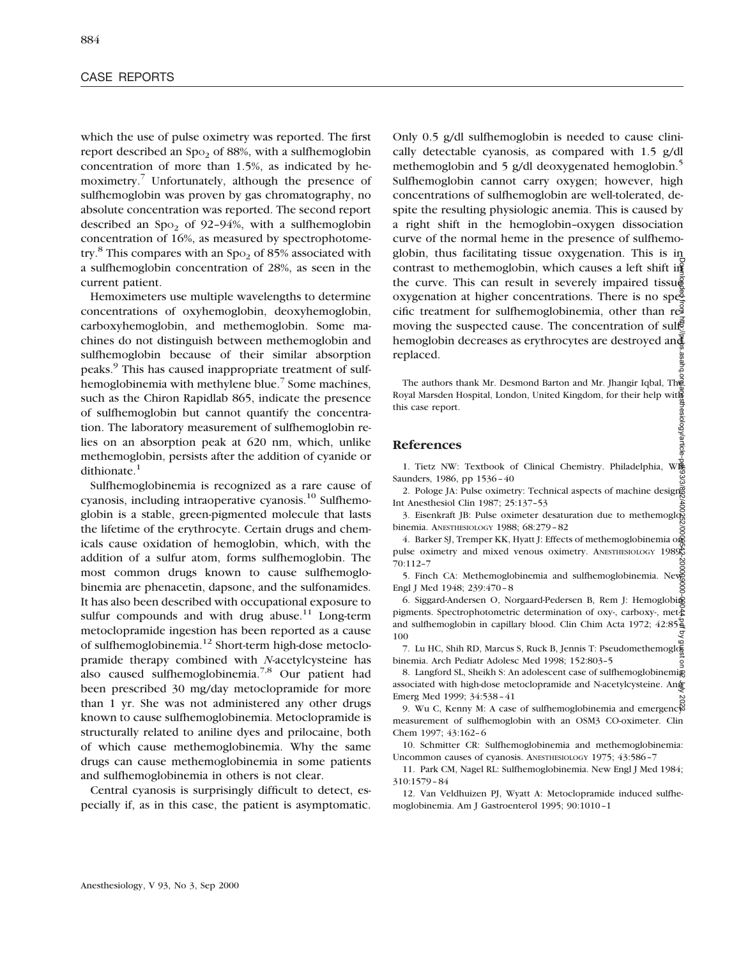which the use of pulse oximetry was reported. The first report described an Spo<sub>2</sub> of 88%, with a sulfhemoglobin concentration of more than 1.5%, as indicated by hemoximetry.7 Unfortunately, although the presence of sulfhemoglobin was proven by gas chromatography, no absolute concentration was reported. The second report described an  $Spo<sub>2</sub>$  of 92–94%, with a sulfhemoglobin concentration of 16%, as measured by spectrophotometry.<sup>8</sup> This compares with an  $Spo<sub>2</sub>$  of 85% associated with a sulfhemoglobin concentration of 28%, as seen in the current patient.

Hemoximeters use multiple wavelengths to determine concentrations of oxyhemoglobin, deoxyhemoglobin, carboxyhemoglobin, and methemoglobin. Some machines do not distinguish between methemoglobin and sulfhemoglobin because of their similar absorption peaks.9 This has caused inappropriate treatment of sulfhemoglobinemia with methylene blue.<sup>7</sup> Some machines, such as the Chiron Rapidlab 865, indicate the presence of sulfhemoglobin but cannot quantify the concentration. The laboratory measurement of sulfhemoglobin relies on an absorption peak at 620 nm, which, unlike methemoglobin, persists after the addition of cyanide or dithionate.<sup>1</sup>

Sulfhemoglobinemia is recognized as a rare cause of cyanosis, including intraoperative cyanosis.10 Sulfhemoglobin is a stable, green-pigmented molecule that lasts the lifetime of the erythrocyte. Certain drugs and chemicals cause oxidation of hemoglobin, which, with the addition of a sulfur atom, forms sulfhemoglobin. The most common drugs known to cause sulfhemoglobinemia are phenacetin, dapsone, and the sulfonamides. It has also been described with occupational exposure to sulfur compounds and with drug abuse. $11$  Long-term metoclopramide ingestion has been reported as a cause of sulfhemoglobinemia.12 Short-term high-dose metoclopramide therapy combined with *N*-acetylcysteine has also caused sulfhemoglobinemia.7,8 Our patient had been prescribed 30 mg/day metoclopramide for more than 1 yr. She was not administered any other drugs known to cause sulfhemoglobinemia. Metoclopramide is structurally related to aniline dyes and prilocaine, both of which cause methemoglobinemia. Why the same drugs can cause methemoglobinemia in some patients and sulfhemoglobinemia in others is not clear.

Central cyanosis is surprisingly difficult to detect, especially if, as in this case, the patient is asymptomatic.

Only 0.5 g/dl sulfhemoglobin is needed to cause clinically detectable cyanosis, as compared with 1.5 g/dl methemoglobin and 5 g/dl deoxygenated hemoglobin.<sup>5</sup> Sulfhemoglobin cannot carry oxygen; however, high concentrations of sulfhemoglobin are well-tolerated, despite the resulting physiologic anemia. This is caused by a right shift in the hemoglobin–oxygen dissociation curve of the normal heme in the presence of sulfhemoglobin, thus facilitating tissue oxygenation. This is in contrast to methemoglobin, which causes a left shift in the curve. This can result in severely impaired tissue oxygenation at higher concentrations. There is no specific treatment for sulfhemoglobinemia, other than  $r\ddot{\mathfrak{S}}$ moving the suspected cause. The concentration of sulfhemoglobin decreases as erythrocytes are destroyed and replaced. Downloaded from http://pubs.asahq.org/anesthesiology/article-pdf/93/3/892/400252/0000542-200009000-00044.pdf by guest on 02 July 2022

The authors thank Mr. Desmond Barton and Mr. Jhangir Iqbal, The Royal Marsden Hospital, London, United Kingdom, for their help with this case report.

# **References**

1. Tietz NW: Textbook of Clinical Chemistry. Philadelphia, WB Saunders, 1986, pp 1536–40

2. Pologe JA: Pulse oximetry: Technical aspects of machine designering Int Anesthesiol Clin 1987; 25:137–53

t Anestnesiol Clin 1987; 25:137-53<br>3. Eisenkraft JB: Pulse oximeter desaturation due to methemoglobinemia. ANESTHESIOLOGY 1988; 68:279–82

4. Barker SJ, Tremper KK, Hyatt J: Effects of methemoglobinemia og pulse oximetry and mixed venous oximetry. ANESTHESIOLOGY 1989; 70:112–7

5. Finch CA: Methemoglobinemia and sulfhemoglobinemia. New Engl J Med 1948; 239:470–8 g

6. Siggard-Andersen O, Norgaard-Pedersen B, Rem J: Hemoglobid pigments. Spectrophotometric determination of oxy-, carboxy-, met $\frac{1}{2}$ and sulfhemoglobin in capillary blood. Clin Chim Acta 1972; 42:85– 100

7. Lu HC, Shih RD, Marcus S, Ruck B, Jennis T: Pseudomethemoglobinemia. Arch Pediatr Adolesc Med 1998; 152:803–5

8. Langford SL, Sheikh S: An adolescent case of sulfhemoglobinemig associated with high-dose metoclopramide and N-acetylcysteine. And Emerg Med 1999; 34:538–41

9. Wu C, Kenny M: A case of sulfhemoglobinemia and emergency measurement of sulfhemoglobin with an OSM3 CO-oximeter. Clin Chem 1997; 43:162–6

10. Schmitter CR: Sulfhemoglobinemia and methemoglobinemia: Uncommon causes of cyanosis. ANESTHESIOLOGY 1975; 43:586–7

11. Park CM, Nagel RL: Sulfhemoglobinemia. New Engl J Med 1984; 310:1579–84

12. Van Veldhuizen PJ, Wyatt A: Metoclopramide induced sulfhemoglobinemia. Am J Gastroenterol 1995; 90:1010–1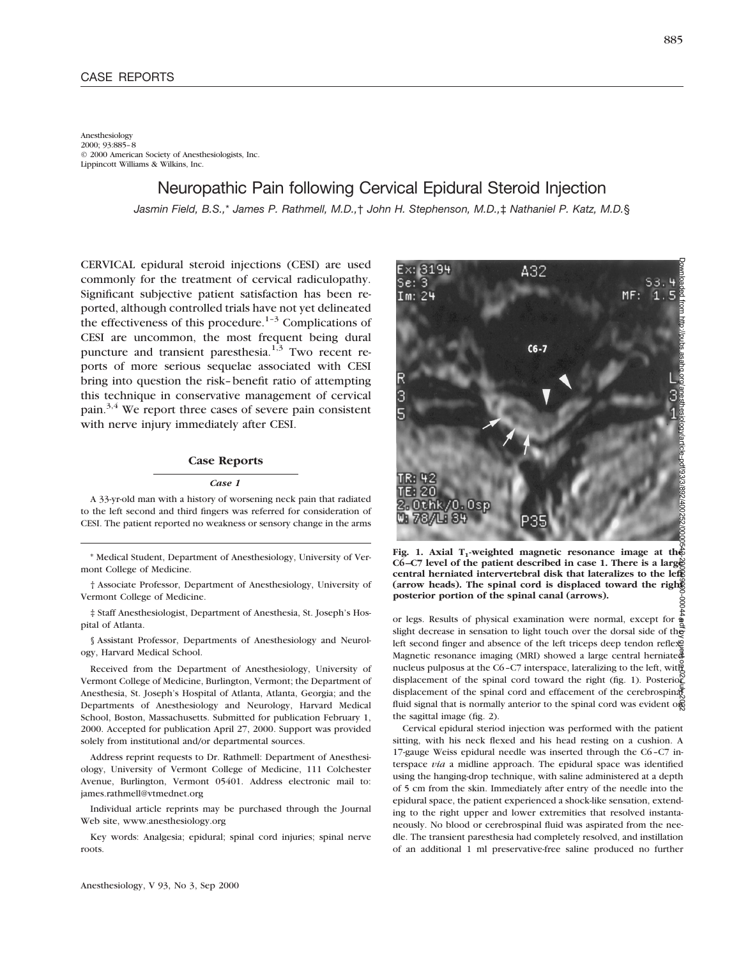#### Anesthesiology 2000; 93:885–8 © 2000 American Society of Anesthesiologists, Inc. Lippincott Williams & Wilkins, Inc.

Neuropathic Pain following Cervical Epidural Steroid Injection

*Jasmin Field, B.S.,*\* *James P. Rathmell, M.D.,*† *John H. Stephenson, M.D.,*‡ *Nathaniel P. Katz, M.D.*§

CERVICAL epidural steroid injections (CESI) are used commonly for the treatment of cervical radiculopathy. Significant subjective patient satisfaction has been reported, although controlled trials have not yet delineated the effectiveness of this procedure.<sup>1-3</sup> Complications of CESI are uncommon, the most frequent being dural puncture and transient paresthesia. $1,3$  Two recent reports of more serious sequelae associated with CESI bring into question the risk–benefit ratio of attempting this technique in conservative management of cervical pain.<sup>3,4</sup> We report three cases of severe pain consistent with nerve injury immediately after CESI.

### **Case Reports**

#### *Case 1*

A 33-yr-old man with a history of worsening neck pain that radiated to the left second and third fingers was referred for consideration of CESI. The patient reported no weakness or sensory change in the arms

\* Medical Student, Department of Anesthesiology, University of Vermont College of Medicine.

† Associate Professor, Department of Anesthesiology, University of Vermont College of Medicine.

‡ Staff Anesthesiologist, Department of Anesthesia, St. Joseph's Hospital of Atlanta.

§ Assistant Professor, Departments of Anesthesiology and Neurology, Harvard Medical School.

Received from the Department of Anesthesiology, University of Vermont College of Medicine, Burlington, Vermont; the Department of Anesthesia, St. Joseph's Hospital of Atlanta, Atlanta, Georgia; and the Departments of Anesthesiology and Neurology, Harvard Medical School, Boston, Massachusetts. Submitted for publication February 1, 2000. Accepted for publication April 27, 2000. Support was provided solely from institutional and/or departmental sources.

Address reprint requests to Dr. Rathmell: Department of Anesthesiology, University of Vermont College of Medicine, 111 Colchester Avenue, Burlington, Vermont 05401. Address electronic mail to: james.rathmell@vtmednet.org

Individual article reprints may be purchased through the Journal Web site, www.anesthesiology.org

Key words: Analgesia; epidural; spinal cord injuries; spinal nerve roots.

Downloaded from http://pubs.asahq.org/anesthesiology/article-pdf/93/3/892/400252/0000542-200009000-00044.pdf by guest on 02 July 202278/LIS4 Fig. 1. Axial T<sub>1</sub>-weighted magnetic resonance image at the

**C6–C7 level of the patient described in case 1. There is a large central herniated intervertebral disk that lateralizes to the left** (arrow heads). The spinal cord is displaced toward the right **posterior portion of the spinal canal (arrows).**

or legs. Results of physical examination were normal, except for  $\frac{1}{2}$ slight decrease in sensation to light touch over the dorsal side of the left second finger and absence of the left triceps deep tendon reflexe Magnetic resonance imaging (MRI) showed a large central herniated nucleus pulposus at the C6–C7 interspace, lateralizing to the left, with displacement of the spinal cord toward the right (fig. 1). Posterior displacement of the spinal cord and effacement of the cerebrospinal fluid signal that is normally anterior to the spinal cord was evident one the sagittal image (fig. 2).

Cervical epidural steriod injection was performed with the patient sitting, with his neck flexed and his head resting on a cushion. A 17-gauge Weiss epidural needle was inserted through the C6–C7 interspace *via* a midline approach. The epidural space was identified using the hanging-drop technique, with saline administered at a depth of 5 cm from the skin. Immediately after entry of the needle into the epidural space, the patient experienced a shock-like sensation, extending to the right upper and lower extremities that resolved instantaneously. No blood or cerebrospinal fluid was aspirated from the needle. The transient paresthesia had completely resolved, and instillation of an additional 1 ml preservative-free saline produced no further

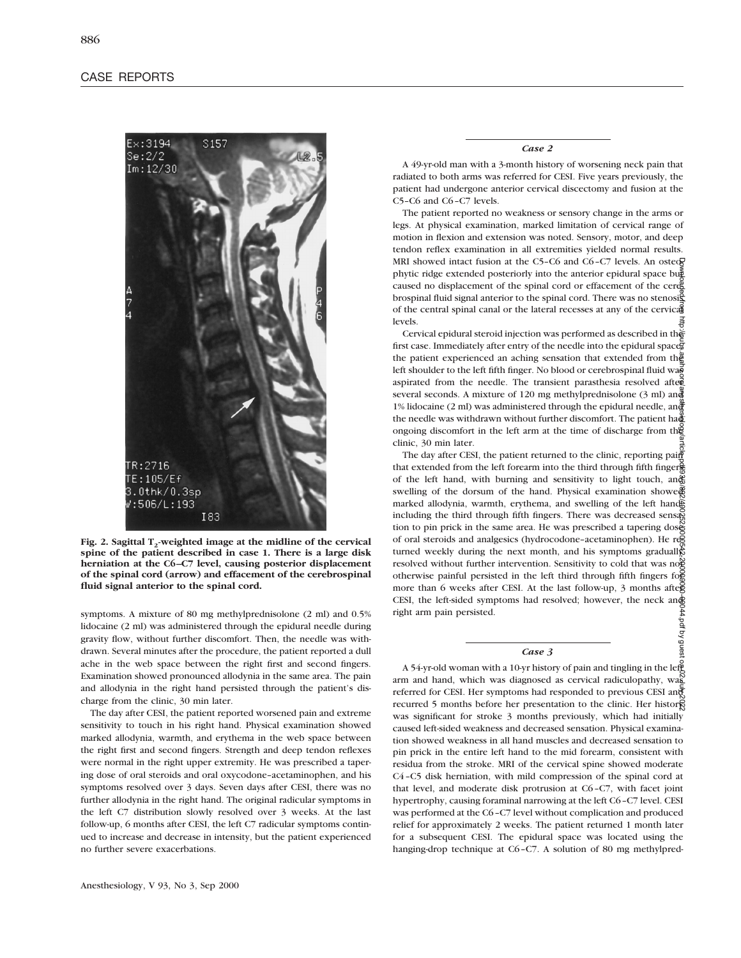

Fig. 2. Sagittal T<sub>2</sub>-weighted image at the midline of the cervical **spine of the patient described in case 1. There is a large disk herniation at the C6–C7 level, causing posterior displacement of the spinal cord (arrow) and effacement of the cerebrospinal fluid signal anterior to the spinal cord.**

symptoms. A mixture of 80 mg methylprednisolone (2 ml) and 0.5% lidocaine (2 ml) was administered through the epidural needle during gravity flow, without further discomfort. Then, the needle was withdrawn. Several minutes after the procedure, the patient reported a dull ache in the web space between the right first and second fingers. Examination showed pronounced allodynia in the same area. The pain and allodynia in the right hand persisted through the patient's discharge from the clinic, 30 min later.

The day after CESI, the patient reported worsened pain and extreme sensitivity to touch in his right hand. Physical examination showed marked allodynia, warmth, and erythema in the web space between the right first and second fingers. Strength and deep tendon reflexes were normal in the right upper extremity. He was prescribed a tapering dose of oral steroids and oral oxycodone–acetaminophen, and his symptoms resolved over 3 days. Seven days after CESI, there was no further allodynia in the right hand. The original radicular symptoms in the left C7 distribution slowly resolved over 3 weeks. At the last follow-up, 6 months after CESI, the left C7 radicular symptoms continued to increase and decrease in intensity, but the patient experienced no further severe exacerbations.

*Case 2*

A 49-yr-old man with a 3-month history of worsening neck pain that radiated to both arms was referred for CESI. Five years previously, the patient had undergone anterior cervical discectomy and fusion at the C5–C6 and C6–C7 levels.

The patient reported no weakness or sensory change in the arms or legs. At physical examination, marked limitation of cervical range of motion in flexion and extension was noted. Sensory, motor, and deep tendon reflex examination in all extremities yielded normal results. MRI showed intact fusion at the C5–C6 and C6–C7 levels. An osteo $\overline{g}$ phytic ridge extended posteriorly into the anterior epidural space but caused no displacement of the spinal cord or effacement of the cere brospinal fluid signal anterior to the spinal cord. There was no stenosisof the central spinal canal or the lateral recesses at any of the cervical levels.

Cervical epidural steroid injection was performed as described in the first case. Immediately after entry of the needle into the epidural space. the patient experienced an aching sensation that extended from the left shoulder to the left fifth finger. No blood or cerebrospinal fluid was aspirated from the needle. The transient parasthesia resolved after several seconds. A mixture of 120 mg methylprednisolone (3 ml) and 1% lidocaine (2 ml) was administered through the epidural needle, and the needle was withdrawn without further discomfort. The patient had ongoing discomfort in the left arm at the time of discharge from the clinic, 30 min later.

The day after CESI, the patient returned to the clinic, reporting paint that extended from the left forearm into the third through fifth fingers of the left hand, with burning and sensitivity to light touch, and swelling of the dorsum of the hand. Physical examination showed marked allodynia, warmth, erythema, and swelling of the left hand including the third through fifth fingers. There was decreased sensaged tion to pin prick in the same area. He was prescribed a tapering dose of oral steroids and analgesics (hydrocodone-acetaminophen). He reg turned weekly during the next month, and his symptoms gradually resolved without further intervention. Sensitivity to cold that was not otherwise painful persisted in the left third through fifth fingers for more than 6 weeks after CESI. At the last follow-up, 3 months after CESI, the left-sided symptoms had resolved; however, the neck and right arm pain persisted. Downloaded from http://pubs.asahq.org/anesthesiology/article-pdf/93/3/892/400252/0000542-200009000-00044.pdf by guest on 02 July 2022

#### *Case 3*

A 54-yr-old woman with a 10-yr history of pain and tingling in the left arm and hand, which was diagnosed as cervical radiculopathy, was referred for CESI. Her symptoms had responded to previous CESI and recurred 5 months before her presentation to the clinic. Her histor was significant for stroke 3 months previously, which had initially caused left-sided weakness and decreased sensation. Physical examination showed weakness in all hand muscles and decreased sensation to pin prick in the entire left hand to the mid forearm, consistent with residua from the stroke. MRI of the cervical spine showed moderate C4–C5 disk herniation, with mild compression of the spinal cord at that level, and moderate disk protrusion at C6–C7, with facet joint hypertrophy, causing foraminal narrowing at the left C6–C7 level. CESI was performed at the C6–C7 level without complication and produced relief for approximately 2 weeks. The patient returned 1 month later for a subsequent CESI. The epidural space was located using the hanging-drop technique at C6–C7. A solution of 80 mg methylpred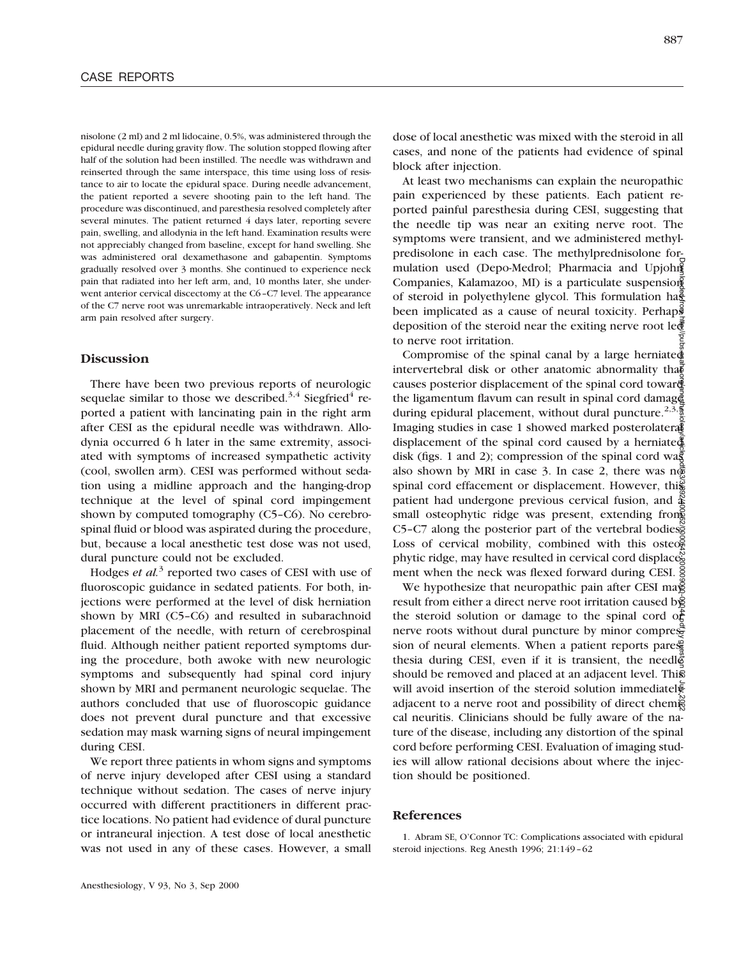nisolone (2 ml) and 2 ml lidocaine, 0.5%, was administered through the epidural needle during gravity flow. The solution stopped flowing after half of the solution had been instilled. The needle was withdrawn and reinserted through the same interspace, this time using loss of resistance to air to locate the epidural space. During needle advancement, the patient reported a severe shooting pain to the left hand. The procedure was discontinued, and paresthesia resolved completely after several minutes. The patient returned 4 days later, reporting severe pain, swelling, and allodynia in the left hand. Examination results were not appreciably changed from baseline, except for hand swelling. She was administered oral dexamethasone and gabapentin. Symptoms gradually resolved over 3 months. She continued to experience neck pain that radiated into her left arm, and, 10 months later, she underwent anterior cervical discectomy at the C6–C7 level. The appearance of the C7 nerve root was unremarkable intraoperatively. Neck and left arm pain resolved after surgery.

# **Discussion**

There have been two previous reports of neurologic sequelae similar to those we described.<sup>3,4</sup> Siegfried<sup>4</sup> reported a patient with lancinating pain in the right arm after CESI as the epidural needle was withdrawn. Allodynia occurred 6 h later in the same extremity, associated with symptoms of increased sympathetic activity (cool, swollen arm). CESI was performed without sedation using a midline approach and the hanging-drop technique at the level of spinal cord impingement shown by computed tomography (C5–C6). No cerebrospinal fluid or blood was aspirated during the procedure, but, because a local anesthetic test dose was not used, dural puncture could not be excluded.

Hodges *et al.*<sup>3</sup> reported two cases of CESI with use of fluoroscopic guidance in sedated patients. For both, injections were performed at the level of disk herniation shown by MRI (C5–C6) and resulted in subarachnoid placement of the needle, with return of cerebrospinal fluid. Although neither patient reported symptoms during the procedure, both awoke with new neurologic symptoms and subsequently had spinal cord injury shown by MRI and permanent neurologic sequelae. The authors concluded that use of fluoroscopic guidance does not prevent dural puncture and that excessive sedation may mask warning signs of neural impingement during CESI.

We report three patients in whom signs and symptoms of nerve injury developed after CESI using a standard technique without sedation. The cases of nerve injury occurred with different practitioners in different practice locations. No patient had evidence of dural puncture or intraneural injection. A test dose of local anesthetic was not used in any of these cases. However, a small dose of local anesthetic was mixed with the steroid in all cases, and none of the patients had evidence of spinal block after injection.

At least two mechanisms can explain the neuropathic pain experienced by these patients. Each patient reported painful paresthesia during CESI, suggesting that the needle tip was near an exiting nerve root. The symptoms were transient, and we administered methylpredisolone in each case. The methylprednisolone formulation used (Depo-Medrol; Pharmacia and Upjohn Companies, Kalamazoo, MI) is a particulate suspension of steroid in polyethylene glycol. This formulation has been implicated as a cause of neural toxicity. Perhaps deposition of the steroid near the exiting nerve root le $\bar{\mathbb{F}}$ to nerve root irritation.

Compromise of the spinal canal by a large herniated intervertebral disk or other anatomic abnormality that causes posterior displacement of the spinal cord towar. the ligamentum flavum can result in spinal cord damage during epidural placement, without dural puncture.<sup>2,3,5</sup> Imaging studies in case 1 showed marked posterolateral displacement of the spinal cord caused by a herniated disk (figs. 1 and 2); compression of the spinal cord was also shown by MRI in case 3. In case 2, there was  $n\bar{\phi}$ spinal cord effacement or displacement. However, this patient had undergone previous cervical fusion, and  $\frac{3}{4}$ small osteophytic ridge was present, extending from C5-C7 along the posterior part of the vertebral bodiess Loss of cervical mobility, combined with this osteo $\frac{5}{3}$ phytic ridge, may have resulted in cervical cord displaces ment when the neck was flexed forward during CESI.  $\frac{5}{9}$ Downloaded from http://pubs.asahq.org/anesthesiology/article-pdf/93/3/892/400252/0000542-200009000-00044.pdf by guest on 02 July 2022

We hypothesize that neuropathic pain after CESI mag result from either a direct nerve root irritation caused by the steroid solution or damage to the spinal cord of nerve roots without dural puncture by minor compression of neural elements. When a patient reports pare $\mathcal{G}$ thesia during CESI, even if it is transient, the needles should be removed and placed at an adjacent level. This will avoid insertion of the steroid solution immediatel adjacent to a nerve root and possibility of direct chemical neuritis. Clinicians should be fully aware of the nature of the disease, including any distortion of the spinal cord before performing CESI. Evaluation of imaging studies will allow rational decisions about where the injection should be positioned.

### **References**

1. Abram SE, O'Connor TC: Complications associated with epidural steroid injections. Reg Anesth 1996; 21:149–62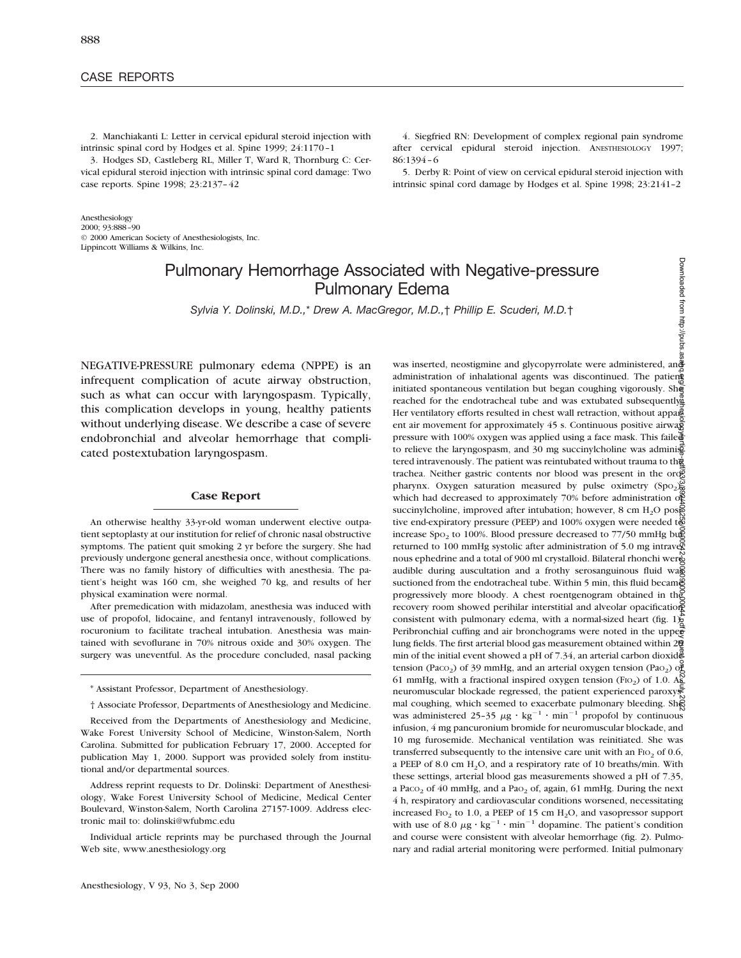## CASE REPORTS

2. Manchiakanti L: Letter in cervical epidural steroid injection with intrinsic spinal cord by Hodges et al. Spine 1999; 24:1170–1

3. Hodges SD, Castleberg RL, Miller T, Ward R, Thornburg C: Cervical epidural steroid injection with intrinsic spinal cord damage: Two case reports. Spine 1998; 23:2137–42

Anesthesiology 2000; 93:888–90 © 2000 American Society of Anesthesiologists, Inc. Lippincott Williams & Wilkins, Inc.

4. Siegfried RN: Development of complex regional pain syndrome after cervical epidural steroid injection. ANESTHESIOLOGY 1997; 86:1394–6

5. Derby R: Point of view on cervical epidural steroid injection with intrinsic spinal cord damage by Hodges et al. Spine 1998; 23:2141–2

# Pulmonary Hemorrhage Associated with Negative-pressure Pulmonary Edema

*Sylvia Y. Dolinski, M.D.,*\* *Drew A. MacGregor, M.D.,*† *Phillip E. Scuderi, M.D.*†

NEGATIVE-PRESSURE pulmonary edema (NPPE) is an infrequent complication of acute airway obstruction, such as what can occur with laryngospasm. Typically, this complication develops in young, healthy patients without underlying disease. We describe a case of severe endobronchial and alveolar hemorrhage that complicated postextubation laryngospasm.

### **Case Report**

An otherwise healthy 33-yr-old woman underwent elective outpatient septoplasty at our institution for relief of chronic nasal obstructive symptoms. The patient quit smoking 2 yr before the surgery. She had previously undergone general anesthesia once, without complications. There was no family history of difficulties with anesthesia. The patient's height was 160 cm, she weighed 70 kg, and results of her physical examination were normal.

After premedication with midazolam, anesthesia was induced with use of propofol, lidocaine, and fentanyl intravenously, followed by rocuronium to facilitate tracheal intubation. Anesthesia was maintained with sevoflurane in 70% nitrous oxide and 30% oxygen. The surgery was uneventful. As the procedure concluded, nasal packing

Address reprint requests to Dr. Dolinski: Department of Anesthesiology, Wake Forest University School of Medicine, Medical Center Boulevard, Winston-Salem, North Carolina 27157-1009. Address electronic mail to: dolinski@wfubmc.edu

Individual article reprints may be purchased through the Journal Web site, www.anesthesiology.org

Downloaded from http://pubs.a Downloaded from http://pubs.asahq.org/anesthesiology/article-pdf/93/3/892/400252/0000542-200009000-00044.pdf by guest on 02 July 2022was inserted, neostigmine and glycopyrrolate were administered, and administration of inhalational agents was discontinued. The patient initiated spontaneous ventilation but began coughing vigorously. She reached for the endotracheal tube and was extubated subsequently. Her ventilatory efforts resulted in chest wall retraction, without apparentle ent air movement for approximately 45 s. Continuous positive airway pressure with 100% oxygen was applied using a face mask. This failed to relieve the laryngospasm, and 30 mg succinylcholine was administrationtered intravenously. The patient was reintubated without trauma to the trachea. Neither gastric contents nor blood was present in the or $\mathfrak{E}$ pharynx. Oxygen saturation measured by pulse oximetry (Spo<sub>2</sub>) $\frac{60}{20}$ which had decreased to approximately 70% before administration of succinylcholine, improved after intubation; however,  $8 \text{ cm H}_2\text{O}$  posised tive end-expiratory pressure (PEEP) and  $100\%$  oxygen were needed to increase  $Spo<sub>2</sub>$  to 100%. Blood pressure decreased to 77/50 mmHg bug returned to 100 mmHg systolic after administration of 5.0 mg intrave $\mathbb{Z}$ nous ephedrine and a total of 900 ml crystalloid. Bilateral rhonchi were audible during auscultation and a frothy serosanguinous fluid was suctioned from the endotracheal tube. Within 5 min, this fluid became progressively more bloody. A chest roentgenogram obtained in the recovery room showed perihilar interstitial and alveolar opacification consistent with pulmonary edema, with a normal-sized heart (fig.  $1\frac{1}{2}$ ). Peribronchial cuffing and air bronchograms were noted in the upperlung fields. The first arterial blood gas measurement obtained within 20 min of the initial event showed a pH of 7.34, an arterial carbon dioxide tension (Paco<sub>2</sub>) of 39 mmHg, and an arterial oxygen tension (Pao<sub>2</sub>) of 61 mmHg, with a fractional inspired oxygen tension (FIO<sub>2</sub>) of 1.0. As neuromuscular blockade regressed, the patient experienced paroxysmal coughing, which seemed to exacerbate pulmonary bleeding. She was administered 25-35  $\mu$ g · kg<sup>-1</sup> · min<sup>-1</sup> propofol by continuous infusion, 4 mg pancuronium bromide for neuromuscular blockade, and 10 mg furosemide. Mechanical ventilation was reinitiated. She was transferred subsequently to the intensive care unit with an  $F10<sub>2</sub>$  of 0.6, a PEEP of 8.0 cm  $H_2O$ , and a respiratory rate of 10 breaths/min. With these settings, arterial blood gas measurements showed a pH of 7.35, a Paco<sub>2</sub> of 40 mmHg, and a Pao<sub>2</sub> of, again, 61 mmHg. During the next 4 h, respiratory and cardiovascular conditions worsened, necessitating increased F<sub>IO<sub>2</sub></sub> to 1.0, a PEEP of 15 cm H<sub>2</sub>O, and vasopressor support with use of 8.0  $\mu$ g · kg<sup>-1</sup> · min<sup>-1</sup> dopamine. The patient's condition and course were consistent with alveolar hemorrhage (fig. 2). Pulmonary and radial arterial monitoring were performed. Initial pulmonary

<sup>\*</sup> Assistant Professor, Department of Anesthesiology.

<sup>†</sup> Associate Professor, Departments of Anesthesiology and Medicine.

Received from the Departments of Anesthesiology and Medicine, Wake Forest University School of Medicine, Winston-Salem, North Carolina. Submitted for publication February 17, 2000. Accepted for publication May 1, 2000. Support was provided solely from institutional and/or departmental sources.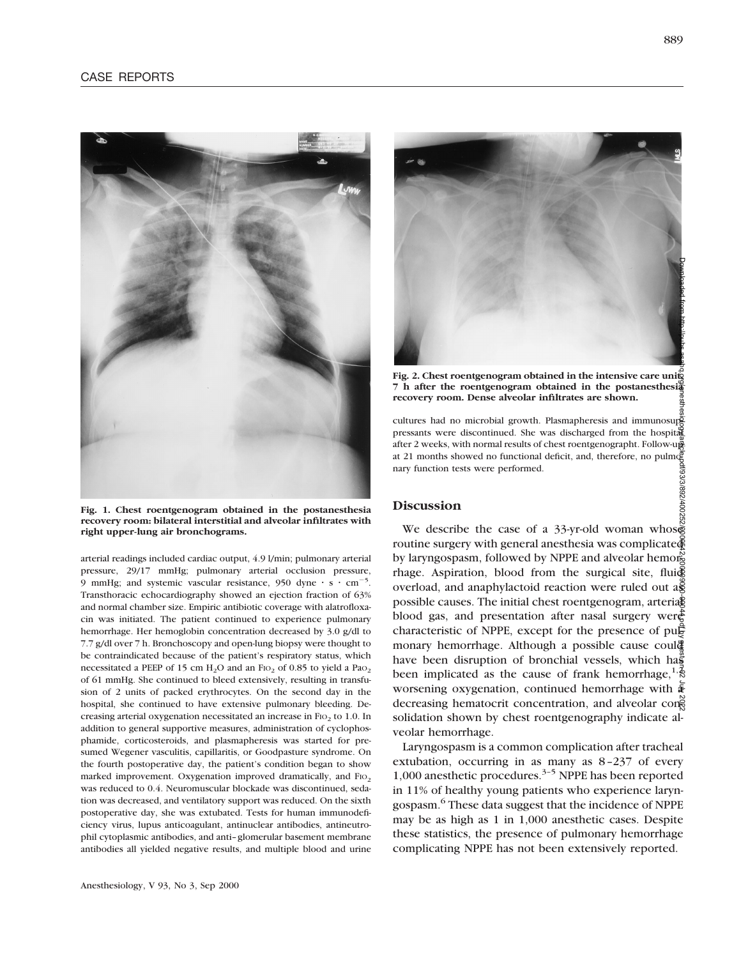

**Fig. 1. Chest roentgenogram obtained in the postanesthesia recovery room: bilateral interstitial and alveolar infiltrates with right upper-lung air bronchograms.**

arterial readings included cardiac output, 4.9 l/min; pulmonary arterial pressure, 29/17 mmHg; pulmonary arterial occlusion pressure, 9 mmHg; and systemic vascular resistance, 950 dyne  $\cdot$  s  $\cdot$  cm<sup>-5</sup>. Transthoracic echocardiography showed an ejection fraction of 63% and normal chamber size. Empiric antibiotic coverage with alatrofloxacin was initiated. The patient continued to experience pulmonary hemorrhage. Her hemoglobin concentration decreased by 3.0 g/dl to 7.7 g/dl over 7 h. Bronchoscopy and open-lung biopsy were thought to be contraindicated because of the patient's respiratory status, which necessitated a PEEP of 15 cm  $H_2O$  and an FIO<sub>2</sub> of 0.85 to yield a PaO<sub>2</sub> of 61 mmHg. She continued to bleed extensively, resulting in transfusion of 2 units of packed erythrocytes. On the second day in the hospital, she continued to have extensive pulmonary bleeding. Decreasing arterial oxygenation necessitated an increase in FIO<sub>2</sub> to 1.0. In addition to general supportive measures, administration of cyclophosphamide, corticosteroids, and plasmapheresis was started for presumed Wegener vasculitis, capillaritis, or Goodpasture syndrome. On the fourth postoperative day, the patient's condition began to show marked improvement. Oxygenation improved dramatically, and FIO<sub>2</sub> was reduced to 0.4. Neuromuscular blockade was discontinued, sedation was decreased, and ventilatory support was reduced. On the sixth postoperative day, she was extubated. Tests for human immunodeficiency virus, lupus anticoagulant, antinuclear antibodies, antineutrophil cytoplasmic antibodies, and anti–glomerular basement membrane antibodies all yielded negative results, and multiple blood and urine



Fig. 2. Chest roentgenogram obtained in the intensive care unity **7 h after the roentgenogram obtained in the postanesthesia recovery room. Dense alveolar infiltrates are shown.**

cultures had no microbial growth. Plasmapheresis and immunosuppressants were discontinued. She was discharged from the hospital after 2 weeks, with normal results of chest roentgenographt. Follow-up at 21 months showed no functional deficit, and, therefore, no pulmonary function tests were performed.

# **Discussion**

We describe the case of a 33-yr-old woman whose routine surgery with general anesthesia was complicated by laryngospasm, followed by NPPE and alveolar hemorg rhage. Aspiration, blood from the surgical site, fluid overload, and anaphylactoid reaction were ruled out  $a\tilde{g}$ possible causes. The initial chest roentgenogram, arteria $\frac{1}{2}$ blood gas, and presentation after nasal surgery were characteristic of NPPE, except for the presence of pu $\ddot{F}$ monary hemorrhage. Although a possible cause coul<sup>®</sup> have been disruption of bronchial vessels, which has been implicated as the cause of frank hemorrhage,  $^{1,2}$ worsening oxygenation, continued hemorrhage with  $\bar{\mathbf{\mathsf{F}}}$ decreasing hematocrit concentration, and alveolar consolidation shown by chest roentgenography indicate alveolar hemorrhage. Downloaded from http://pubs.asahq.org/anesthesiology/article-pdf/93/3/892/400252/0000542-200009000-00044.pdf by guest on 02 July 2022

Laryngospasm is a common complication after tracheal extubation, occurring in as many as 8–237 of every 1,000 anesthetic procedures.3–5 NPPE has been reported in 11% of healthy young patients who experience laryngospasm.6 These data suggest that the incidence of NPPE may be as high as 1 in 1,000 anesthetic cases. Despite these statistics, the presence of pulmonary hemorrhage complicating NPPE has not been extensively reported.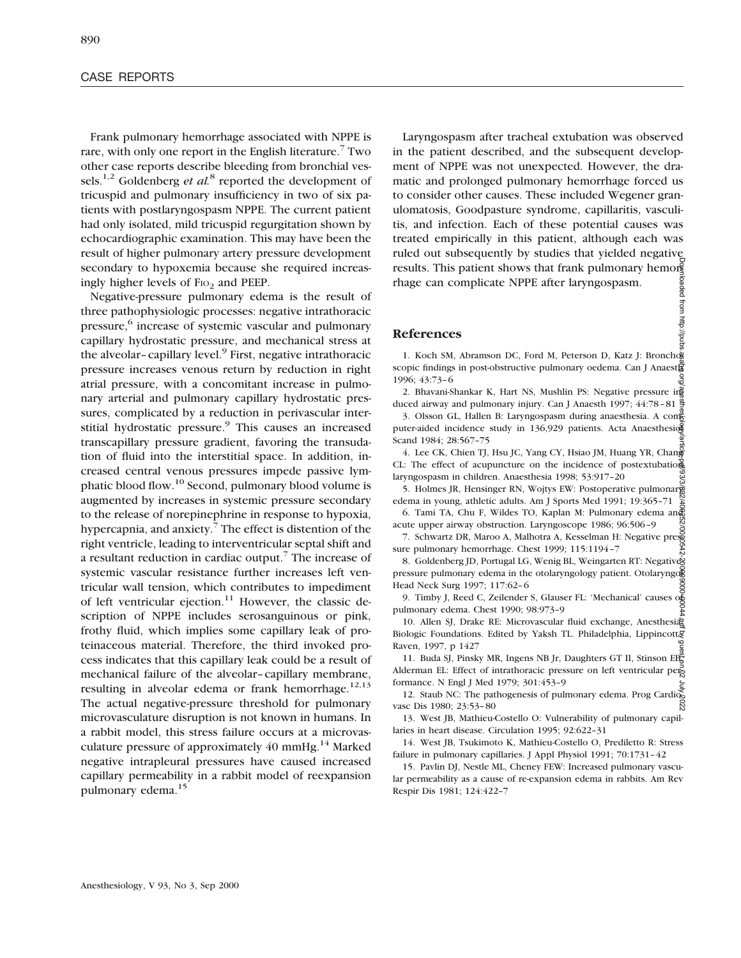Frank pulmonary hemorrhage associated with NPPE is rare, with only one report in the English literature.<sup>7</sup> Two other case reports describe bleeding from bronchial vessels.1,2 Goldenberg *et al.*<sup>8</sup> reported the development of tricuspid and pulmonary insufficiency in two of six patients with postlaryngospasm NPPE. The current patient had only isolated, mild tricuspid regurgitation shown by echocardiographic examination. This may have been the result of higher pulmonary artery pressure development secondary to hypoxemia because she required increasingly higher levels of  $FIO<sub>2</sub>$  and PEEP.

Negative-pressure pulmonary edema is the result of three pathophysiologic processes: negative intrathoracic pressure,<sup>6</sup> increase of systemic vascular and pulmonary capillary hydrostatic pressure, and mechanical stress at the alveolar-capillary level.<sup>9</sup> First, negative intrathoracic pressure increases venous return by reduction in right atrial pressure, with a concomitant increase in pulmonary arterial and pulmonary capillary hydrostatic pressures, complicated by a reduction in perivascular interstitial hydrostatic pressure.<sup>9</sup> This causes an increased transcapillary pressure gradient, favoring the transudation of fluid into the interstitial space. In addition, increased central venous pressures impede passive lymphatic blood flow.10 Second, pulmonary blood volume is augmented by increases in systemic pressure secondary to the release of norepinephrine in response to hypoxia, hypercapnia, and anxiety.<sup>7</sup> The effect is distention of the right ventricle, leading to interventricular septal shift and a resultant reduction in cardiac output.<sup>7</sup> The increase of systemic vascular resistance further increases left ventricular wall tension, which contributes to impediment of left ventricular ejection.<sup>11</sup> However, the classic description of NPPE includes serosanguinous or pink, frothy fluid, which implies some capillary leak of proteinaceous material. Therefore, the third invoked process indicates that this capillary leak could be a result of mechanical failure of the alveolar–capillary membrane, resulting in alveolar edema or frank hemorrhage.<sup>12,13</sup> The actual negative-pressure threshold for pulmonary microvasculature disruption is not known in humans. In a rabbit model, this stress failure occurs at a microvasculature pressure of approximately  $40 \text{ mmHg}$ .<sup>14</sup> Marked negative intrapleural pressures have caused increased capillary permeability in a rabbit model of reexpansion pulmonary edema.15

Laryngospasm after tracheal extubation was observed in the patient described, and the subsequent development of NPPE was not unexpected. However, the dramatic and prolonged pulmonary hemorrhage forced us to consider other causes. These included Wegener granulomatosis, Goodpasture syndrome, capillaritis, vasculitis, and infection. Each of these potential causes was treated empirically in this patient, although each was ruled out subsequently by studies that yielded negative results. This patient shows that frank pulmonary hemorg loaded from http://pubs rhage can complicate NPPE after laryngospasm.

# **References**

1. Koch SM, Abramson DC, Ford M, Peterson D, Katz J: Bronchog scopic findings in post-obstructive pulmonary oedema. Can J Anaesthe 1996; 43:73–6

2. Bhavani-Shankar K, Hart NS, Mushlin PS: Negative pressure in duced airway and pulmonary injury. Can J Anaesth 1997; 44:78–81

3. Olsson GL, Hallen B: Laryngospasm during anaesthesia. A cone puter-aided incidence study in 136,929 patients. Acta Anaesthesion Scand 1984; 28:567–75

4. Lee CK, Chien TJ, Hsu JC, Yang CY, Hsiao JM, Huang YR, Chang CL: The effect of acupuncture on the incidence of postextubation laryngospasm in children. Anaesthesia 1998; 53:917–20

5. Holmes JR, Hensinger RN, Wojtys EW: Postoperative pulmonary edema in young, athletic adults. Am J Sports Med 1991; 19:365–71 24

6. Tami TA, Chu F, Wildes TO, Kaplan M: Pulmonary edema and acute upper airway obstruction. Laryngoscope 1986; 96:506–9

7. Schwartz DR, Maroo A, Malhotra A, Kesselman H: Negative pressure pulmonary hemorrhage. Chest 1999; 115:1194–7

8. Goldenberg JD, Portugal LG, Wenig BL, Weingarten RT: Negatives pressure pulmonary edema in the otolaryngology patient. Otolaryngo Head Neck Surg 1997; 117:62–6

9. Timby J, Reed C, Zeilender S, Glauser FL: 'Mechanical' causes of pulmonary edema. Chest 1990; 98:973–9

10. Allen SJ, Drake RE: Microvascular fluid exchange, Anesthesia: Biologic Foundations. Edited by Yaksh TL. Philadelphia, Lippincottg Raven, 1997, p 1427

11. Buda SJ, Pinsky MR, Ingens NB Jr, Daughters GT II, Stinson EB, Alderman EL: Effect of intrathoracic pressure on left ventricular performance. N Engl J Med 1979; 301:453–9 Downloaded from http://pubs.asahq.org/anesthesiology/article-pdf/93/3/892/400252/0000542-200009000-00044.pdf by guest on 02 July 2022

12. Staub NC: The pathogenesis of pulmonary edema. Prog Cardiovasc Dis 1980; 23:53–80

13. West JB, Mathieu-Costello O: Vulnerability of pulmonary capillaries in heart disease. Circulation 1995; 92:622–31

14. West JB, Tsukimoto K, Mathieu-Costello O, Prediletto R: Stress failure in pulmonary capillaries. J Appl Physiol 1991; 70:1731–42

15. Pavlin DJ, Nestle ML, Cheney FEW: Increased pulmonary vascular permeability as a cause of re-expansion edema in rabbits. Am Rev Respir Dis 1981; 124:422–7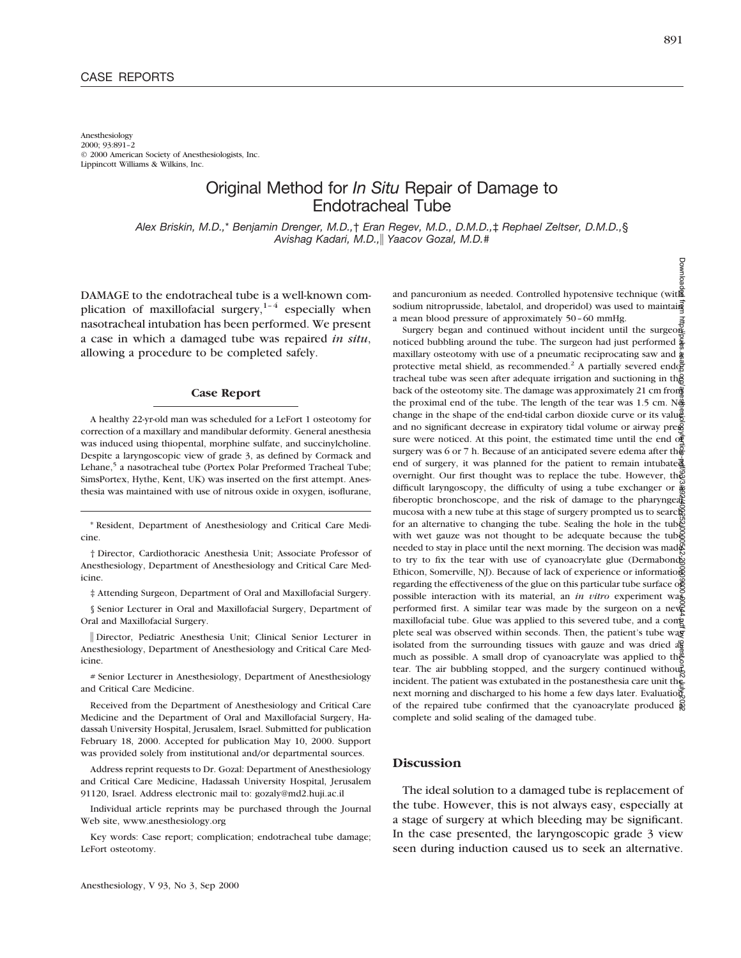Anesthesiology 2000; 93:891–2 © 2000 American Society of Anesthesiologists, Inc. Lippincott Williams & Wilkins, Inc.

# Original Method for *In Situ* Repair of Damage to Endotracheal Tube

*Alex Briskin, M.D.,*\* *Benjamin Drenger, M.D.,*† *Eran Regev, M.D., D.M.D.,*‡ *Rephael Zeltser, D.M.D.,*§ *Avishag Kadari, M.D.,*i *Yaacov Gozal, M.D.#*

DAMAGE to the endotracheal tube is a well-known complication of maxillofacial surgery, $1-4$  especially when nasotracheal intubation has been performed. We present a case in which a damaged tube was repaired *in situ*, allowing a procedure to be completed safely.

## **Case Report**

A healthy 22-yr-old man was scheduled for a LeFort 1 osteotomy for correction of a maxillary and mandibular deformity. General anesthesia was induced using thiopental, morphine sulfate, and succinylcholine. Despite a laryngoscopic view of grade 3, as defined by Cormack and Lehane,<sup>5</sup> a nasotracheal tube (Portex Polar Preformed Tracheal Tube; SimsPortex, Hythe, Kent, UK) was inserted on the first attempt. Anesthesia was maintained with use of nitrous oxide in oxygen, isoflurane,

\* Resident, Department of Anesthesiology and Critical Care Medicine.

† Director, Cardiothoracic Anesthesia Unit; Associate Professor of Anesthesiology, Department of Anesthesiology and Critical Care Medicine.

‡ Attending Surgeon, Department of Oral and Maxillofacial Surgery.

§ Senior Lecturer in Oral and Maxillofacial Surgery, Department of Oral and Maxillofacial Surgery.

i Director, Pediatric Anesthesia Unit; Clinical Senior Lecturer in Anesthesiology, Department of Anesthesiology and Critical Care Medicine.

# Senior Lecturer in Anesthesiology, Department of Anesthesiology and Critical Care Medicine.

Received from the Department of Anesthesiology and Critical Care Medicine and the Department of Oral and Maxillofacial Surgery, Hadassah University Hospital, Jerusalem, Israel. Submitted for publication February 18, 2000. Accepted for publication May 10, 2000. Support was provided solely from institutional and/or departmental sources.

Address reprint requests to Dr. Gozal: Department of Anesthesiology and Critical Care Medicine, Hadassah University Hospital, Jerusalem 91120, Israel. Address electronic mail to: gozaly@md2.huji.ac.il

Individual article reprints may be purchased through the Journal Web site, www.anesthesiology.org

Key words: Case report; complication; endotracheal tube damage; LeFort osteotomy.

and pancuronium as needed. Controlled hypotensive technique (with sodium nitroprusside, labetalol, and droperidol) was used to maintain a mean blood pressure of approximately 50–60 mmHg.

Surgery began and continued without incident until the surgeon noticed bubbling around the tube. The surgeon had just performed  $\bar{\bm{\xi}}$ maxillary osteotomy with use of a pneumatic reciprocating saw and  $\ddot{\hat{g}}$ protective metal shield, as recommended.<sup>2</sup> A partially severed end $\vec{\mathbf{\Phi}}$ tracheal tube was seen after adequate irrigation and suctioning in the back of the osteotomy site. The damage was approximately 21 cm from the proximal end of the tube. The length of the tear was 1.5 cm.  $N\ddot{\hat{\phi}}$ change in the shape of the end-tidal carbon dioxide curve or its value and no significant decrease in expiratory tidal volume or airway pre $\bar{g}$ sure were noticed. At this point, the estimated time until the end of surgery was 6 or 7 h. Because of an anticipated severe edema after the end of surgery, it was planned for the patient to remain intubated overnight. Our first thought was to replace the tube. However, the difficult laryngoscopy, the difficulty of using a tube exchanger or  $\frac{3}{40}$ fiberoptic bronchoscope, and the risk of damage to the pharyngeals mucosa with a new tube at this stage of surgery prompted us to search for an alternative to changing the tube. Sealing the hole in the tuber with wet gauze was not thought to be adequate because the tube needed to stay in place until the next morning. The decision was made to try to fix the tear with use of cyanoacrylate glue (Dermabond; Ethicon, Somerville, NJ). Because of lack of experience or information regarding the effectiveness of the glue on this particular tube surface o possible interaction with its material, an *in vitro* experiment was performed first. A similar tear was made by the surgeon on a new maxillofacial tube. Glue was applied to this severed tube, and a conplete seal was observed within seconds. Then, the patient's tube was isolated from the surrounding tissues with gauze and was dried  $a\mathbf{F}$ much as possible. A small drop of cyanoacrylate was applied to the tear. The air bubbling stopped, and the surgery continued without incident. The patient was extubated in the postanesthesia care unit the next morning and discharged to his home a few days later. Evaluation of the repaired tube confirmed that the cyanoacrylate produced  $\tilde{R}$ complete and solid sealing of the damaged tube. Downloaded from http://pubs.asahq.org/anesthesiology/article-pdf/93/3/892/400252/0000542-200009000-00044.pdf by guest on 02 July 2022

# **Discussion**

The ideal solution to a damaged tube is replacement of the tube. However, this is not always easy, especially at a stage of surgery at which bleeding may be significant. In the case presented, the laryngoscopic grade 3 view seen during induction caused us to seek an alternative.

**Downlos**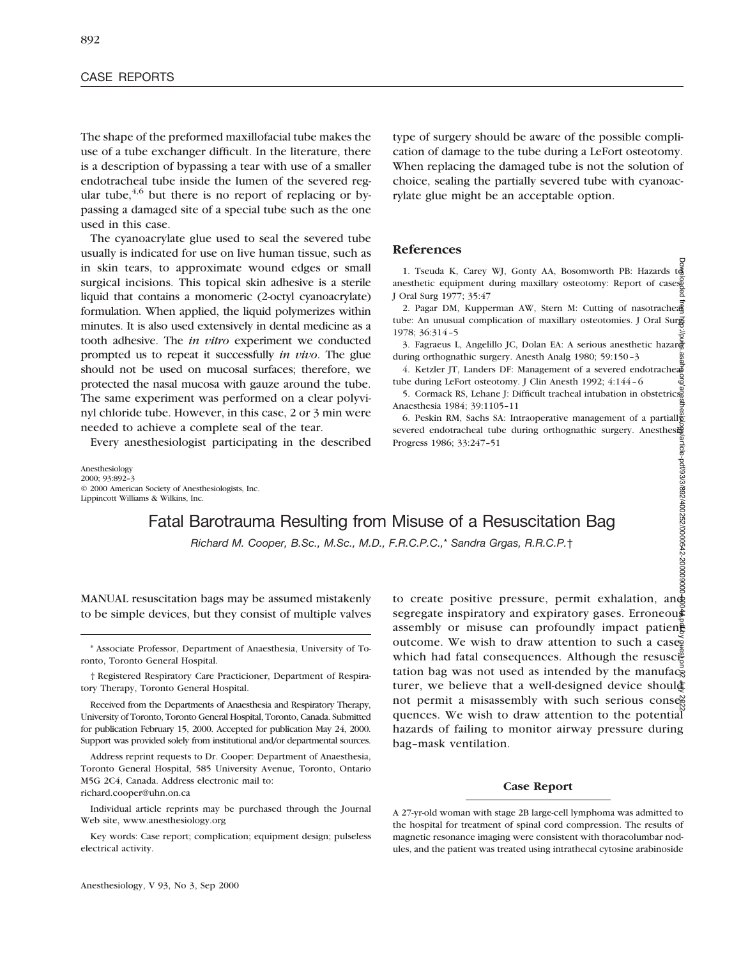The shape of the preformed maxillofacial tube makes the use of a tube exchanger difficult. In the literature, there is a description of bypassing a tear with use of a smaller endotracheal tube inside the lumen of the severed regular tube,  $4,6$  but there is no report of replacing or bypassing a damaged site of a special tube such as the one used in this case.

The cyanoacrylate glue used to seal the severed tube usually is indicated for use on live human tissue, such as in skin tears, to approximate wound edges or small surgical incisions. This topical skin adhesive is a sterile liquid that contains a monomeric (2-octyl cyanoacrylate) formulation. When applied, the liquid polymerizes within minutes. It is also used extensively in dental medicine as a tooth adhesive. The *in vitro* experiment we conducted prompted us to repeat it successfully *in vivo*. The glue should not be used on mucosal surfaces; therefore, we protected the nasal mucosa with gauze around the tube. The same experiment was performed on a clear polyvinyl chloride tube. However, in this case, 2 or 3 min were needed to achieve a complete seal of the tear.

Every anesthesiologist participating in the described

Anesthesiology 2000; 93:892–3 © 2000 American Society of Anesthesiologists, Inc. Lippincott Williams & Wilkins, Inc.

type of surgery should be aware of the possible complication of damage to the tube during a LeFort osteotomy. When replacing the damaged tube is not the solution of choice, sealing the partially severed tube with cyanoacrylate glue might be an acceptable option.

### **References**

1. Tseuda K, Carey WJ, Gonty AA, Bosomworth PB: Hazards to anesthetic equipment during maxillary osteotomy: Report of cases. J Oral Surg 1977; 35:47

2. Pagar DM, Kupperman AW, Stern M: Cutting of nasotrachea tube: An unusual complication of maxillary osteotomies. J Oral Surg 1978; 36:314–5

3. Fagraeus L, Angelillo JC, Dolan EA: A serious anesthetic hazar during orthognathic surgery. Anesth Analg 1980; 59:150–3

4. Ketzler JT, Landers DF: Management of a severed endotracheal tube during LeFort osteotomy. J Clin Anesth 1992; 4:144–6

5. Cormack RS, Lehane J: Difficult tracheal intubation in obstetrics. Anaesthesia 1984; 39:1105–11

Downloaded from http://pubs.asahq.org/anesthesiology/article-pdf/93/3/892/400252/0000542-200009000-00044.pdf by guest on 02 July 20226. Peskin RM, Sachs SA: Intraoperative management of a partiall severed endotracheal tube during orthognathic surgery. Anesthesign Progress 1986; 33:247–51 article-pdf/93/3/892/400252/0000542-2000090000

to create positive pressure, permit exhalation, and segregate inspiratory and expiratory gases. Erroneous assembly or misuse can profoundly impact patien $\frac{a}{b}$ outcome. We wish to draw attention to such a case.

# Fatal Barotrauma Resulting from Misuse of a Resuscitation Bag

*Richard M. Cooper, B.Sc., M.Sc., M.D., F.R.C.P.C.,*\* *Sandra Grgas, R.R.C.P.*†

MANUAL resuscitation bags may be assumed mistakenly to be simple devices, but they consist of multiple valves

† Registered Respiratory Care Practicioner, Department of Respiratory Therapy, Toronto General Hospital.

Received from the Departments of Anaesthesia and Respiratory Therapy, University of Toronto, Toronto General Hospital, Toronto, Canada. Submitted for publication February 15, 2000. Accepted for publication May 24, 2000. Support was provided solely from institutional and/or departmental sources.

Address reprint requests to Dr. Cooper: Department of Anaesthesia, Toronto General Hospital, 585 University Avenue, Toronto, Ontario M5G 2C4, Canada. Address electronic mail to: richard.cooper@uhn.on.ca

Individual article reprints may be purchased through the Journal Web site, www.anesthesiology.org

Key words: Case report; complication; equipment design; pulseless electrical activity.

which had fatal consequences. Although the resuscitation bag was not used as intended by the manuface turer, we believe that a well-designed device should not permit a misassembly with such serious consexquences. We wish to draw attention to the potential hazards of failing to monitor airway pressure during bag–mask ventilation.

# **Case Report**

A 27-yr-old woman with stage 2B large-cell lymphoma was admitted to the hospital for treatment of spinal cord compression. The results of magnetic resonance imaging were consistent with thoracolumbar nodules, and the patient was treated using intrathecal cytosine arabinoside

<sup>\*</sup> Associate Professor, Department of Anaesthesia, University of Toronto, Toronto General Hospital.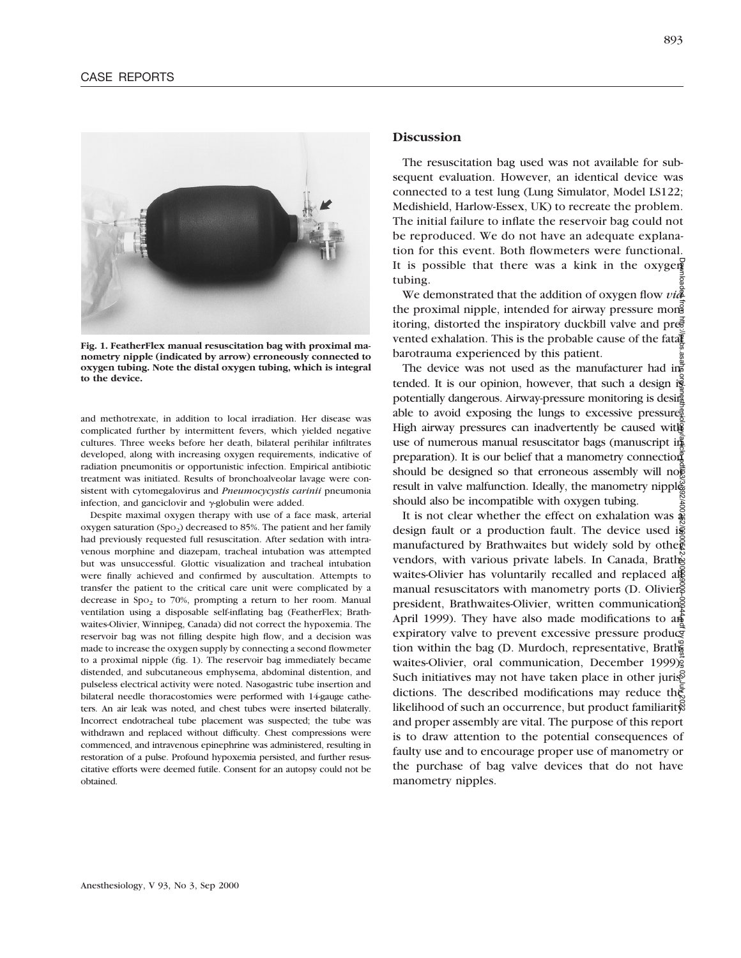

**Fig. 1. FeatherFlex manual resuscitation bag with proximal manometry nipple (indicated by arrow) erroneously connected to oxygen tubing. Note the distal oxygen tubing, which is integral to the device.**

and methotrexate, in addition to local irradiation. Her disease was complicated further by intermittent fevers, which yielded negative cultures. Three weeks before her death, bilateral perihilar infiltrates developed, along with increasing oxygen requirements, indicative of radiation pneumonitis or opportunistic infection. Empirical antibiotic treatment was initiated. Results of bronchoalveolar lavage were consistent with cytomegalovirus and *Pneumocycystis carinii* pneumonia infection, and ganciclovir and  $\gamma$ -globulin were added.

Despite maximal oxygen therapy with use of a face mask, arterial oxygen saturation (Spo<sub>2</sub>) decreased to 85%. The patient and her family had previously requested full resuscitation. After sedation with intravenous morphine and diazepam, tracheal intubation was attempted but was unsuccessful. Glottic visualization and tracheal intubation were finally achieved and confirmed by auscultation. Attempts to transfer the patient to the critical care unit were complicated by a decrease in Spo<sub>2</sub> to 70%, prompting a return to her room. Manual ventilation using a disposable self-inflating bag (FeatherFlex; Brathwaites-Olivier, Winnipeg, Canada) did not correct the hypoxemia. The reservoir bag was not filling despite high flow, and a decision was made to increase the oxygen supply by connecting a second flowmeter to a proximal nipple (fig. 1). The reservoir bag immediately became distended, and subcutaneous emphysema, abdominal distention, and pulseless electrical activity were noted. Nasogastric tube insertion and bilateral needle thoracostomies were performed with 14-gauge catheters. An air leak was noted, and chest tubes were inserted bilaterally. Incorrect endotracheal tube placement was suspected; the tube was withdrawn and replaced without difficulty. Chest compressions were commenced, and intravenous epinephrine was administered, resulting in restoration of a pulse. Profound hypoxemia persisted, and further resuscitative efforts were deemed futile. Consent for an autopsy could not be obtained.

## **Discussion**

The resuscitation bag used was not available for subsequent evaluation. However, an identical device was connected to a test lung (Lung Simulator, Model LS122; Medishield, Harlow-Essex, UK) to recreate the problem. The initial failure to inflate the reservoir bag could not be reproduced. We do not have an adequate explanation for this event. Both flowmeters were functional. It is possible that there was a kink in the oxygen tubing.

We demonstrated that the addition of oxygen flow *via* the proximal nipple, intended for airway pressure mong itoring, distorted the inspiratory duckbill valve and prevented exhalation. This is the probable cause of the fatal barotrauma experienced by this patient.

The device was not used as the manufacturer had in $\frac{3}{4}$ tended. It is our opinion, however, that such a design is potentially dangerous. Airway-pressure monitoring is desirged able to avoid exposing the lungs to excessive pressure $\frac{3}{2}$ . High airway pressures can inadvertently be caused with use of numerous manual resuscitator bags (manuscript in preparation). It is our belief that a manometry connection should be designed so that erroneous assembly will no $\vec{\xi}$ result in valve malfunction. Ideally, the manometry nipple should also be incompatible with oxygen tubing.

It is not clear whether the effect on exhalation was  $\frac{1}{2}$ design fault or a production fault. The device used is manufactured by Brathwaites but widely sold by other vendors, with various private labels. In Canada, Brathwaites-Olivier has voluntarily recalled and replaced algebra. manual resuscitators with manometry ports (D. Oliviers) president, Brathwaites-Olivier, written communications April 1999). They have also made modifications to  $a\hat{B}$ expiratory valve to prevent excessive pressure produce tion within the bag (D. Murdoch, representative, Brath $\bar{\tilde{b}}$ waites-Olivier, oral communication, December 1999). Such initiatives may not have taken place in other jurisdictions. The described modifications may reduce the likelihood of such an occurrence, but product familiarity? and proper assembly are vital. The purpose of this report is to draw attention to the potential consequences of faulty use and to encourage proper use of manometry or the purchase of bag valve devices that do not have manometry nipples. Downloaded from http://pubs.asahq.org/anesthesiology/article-pdf/93/3/892/400252/0000542-200009000-00044.pdf by guest on 02 July 2022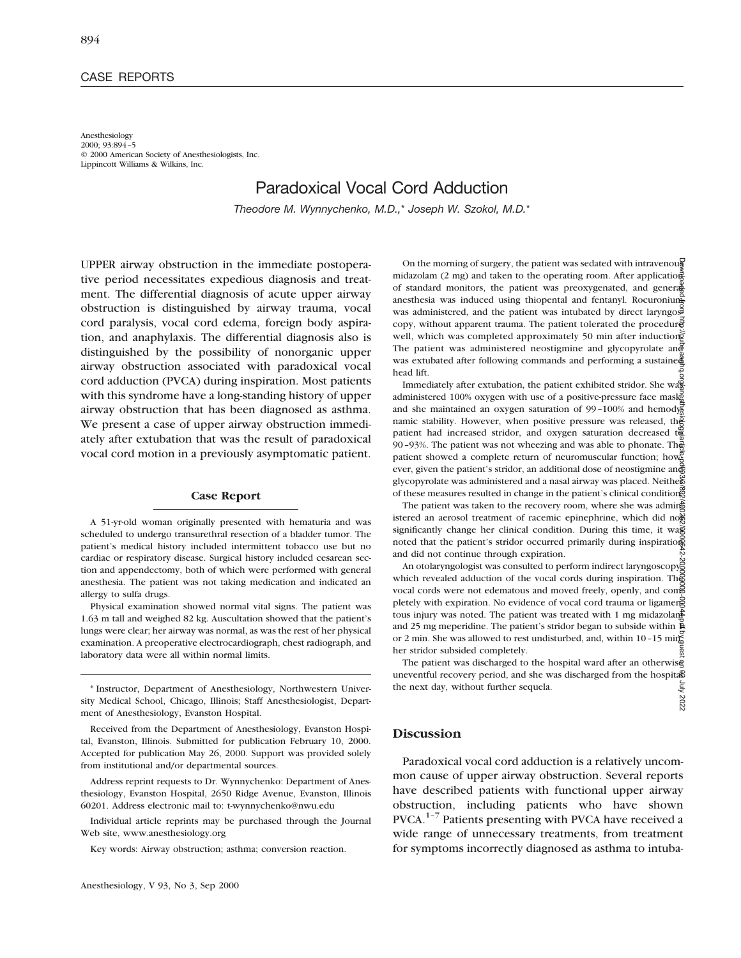### CASE REPORTS

Anesthesiology 2000; 93:894–5 © 2000 American Society of Anesthesiologists, Inc. Lippincott Williams & Wilkins, Inc.

# Paradoxical Vocal Cord Adduction

*Theodore M. Wynnychenko, M.D.,*\* *Joseph W. Szokol, M.D.*\*

UPPER airway obstruction in the immediate postoperative period necessitates expedious diagnosis and treatment. The differential diagnosis of acute upper airway obstruction is distinguished by airway trauma, vocal cord paralysis, vocal cord edema, foreign body aspiration, and anaphylaxis. The differential diagnosis also is distinguished by the possibility of nonorganic upper airway obstruction associated with paradoxical vocal cord adduction (PVCA) during inspiration. Most patients with this syndrome have a long-standing history of upper airway obstruction that has been diagnosed as asthma. We present a case of upper airway obstruction immediately after extubation that was the result of paradoxical vocal cord motion in a previously asymptomatic patient.

### **Case Report**

A 51-yr-old woman originally presented with hematuria and was scheduled to undergo transurethral resection of a bladder tumor. The patient's medical history included intermittent tobacco use but no cardiac or respiratory disease. Surgical history included cesarean section and appendectomy, both of which were performed with general anesthesia. The patient was not taking medication and indicated an allergy to sulfa drugs.

Physical examination showed normal vital signs. The patient was 1.63 m tall and weighed 82 kg. Auscultation showed that the patient's lungs were clear; her airway was normal, as was the rest of her physical examination. A preoperative electrocardiograph, chest radiograph, and laboratory data were all within normal limits.

\* Instructor, Department of Anesthesiology, Northwestern University Medical School, Chicago, Illinois; Staff Anesthesiologist, Department of Anesthesiology, Evanston Hospital.

Received from the Department of Anesthesiology, Evanston Hospital, Evanston, Illinois. Submitted for publication February 10, 2000. Accepted for publication May 26, 2000. Support was provided solely from institutional and/or departmental sources.

Address reprint requests to Dr. Wynnychenko: Department of Anesthesiology, Evanston Hospital, 2650 Ridge Avenue, Evanston, Illinois 60201. Address electronic mail to: t-wynnychenko@nwu.edu

Individual article reprints may be purchased through the Journal Web site, www.anesthesiology.org

Key words: Airway obstruction; asthma; conversion reaction.

On the morning of surgery, the patient was sedated with intravenous midazolam (2 mg) and taken to the operating room. After application of standard monitors, the patient was preoxygenated, and general anesthesia was induced using thiopental and fentanyl. Rocuronium was administered, and the patient was intubated by direct laryngost copy, without apparent trauma. The patient tolerated the procedure well, which was completed approximately 50 min after inductions The patient was administered neostigmine and glycopyrolate and was extubated after following commands and performing a sustained head lift.

Immediately after extubation, the patient exhibited stridor. She was administered 100% oxygen with use of a positive-pressure face mask and she maintained an oxygen saturation of  $99-100\%$  and hemodynamic stability. However, when positive pressure was released, the patient had increased stridor, and oxygen saturation decreased  $t_{\infty}^{\omega}$ 90–93%. The patient was not wheezing and was able to phonate. The patient showed a complete return of neuromuscular function; howe ever, given the patient's stridor, an additional dose of neostigmine and glycopyrolate was administered and a nasal airway was placed. Neither of these measures resulted in change in the patient's clinical condition. Downloaded from http://pubs.asahq.org/anesthesiology/article-pdf/93/3/892/400252/0000542-200009000-00044.pdf by guest on 02 July 2022

The patient was taken to the recovery room, where she was adming istered an aerosol treatment of racemic epinephrine, which did not significantly change her clinical condition. During this time, it was noted that the patient's stridor occurred primarily during inspiration and did not continue through expiration.

An otolaryngologist was consulted to perform indirect laryngoscopy which revealed adduction of the vocal cords during inspiration. The vocal cords were not edematous and moved freely, openly, and cone pletely with expiration. No evidence of vocal cord trauma or ligamentous injury was noted. The patient was treated with 1 mg midazolans and 25 mg meperidine. The patient's stridor began to subside within  $\tilde{P}$ or 2 min. She was allowed to rest undisturbed, and, within  $10-15$  ming her stridor subsided completely.

The patient was discharged to the hospital ward after an otherwise uneventful recovery period, and she was discharged from the hospital **July 2022** the next day, without further sequela.

## **Discussion**

Paradoxical vocal cord adduction is a relatively uncommon cause of upper airway obstruction. Several reports have described patients with functional upper airway obstruction, including patients who have shown PVCA.1–7 Patients presenting with PVCA have received a wide range of unnecessary treatments, from treatment for symptoms incorrectly diagnosed as asthma to intuba